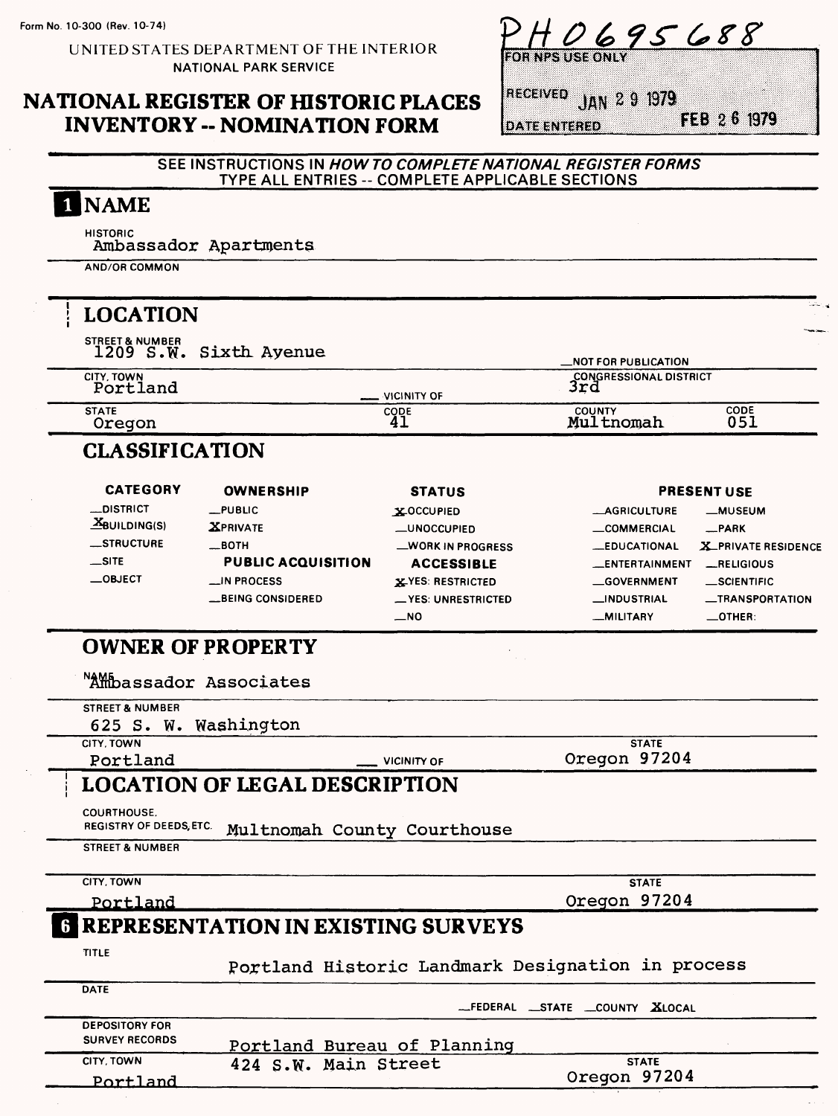UNITED STATES DEPARTMENT OF THE INTERIOR NATIONAL PARK SERVICE

## **NATIONAL REGISTER OF HISTORIC PLACES INVENTORY -- NOMINATION FORM**

<u>1695688</u>

**RECEIVED** 

**DATE ENTERED** 

JAN 29 1979 FEB 26 1979

SEE INSTRUCTIONS IN **HOWTO COMPLETE NATIONAL REGISTER FORMS**  TYPE ALL ENTRIES -- COMPLETE APPLICABLE SECTIONS

## 1 NAME

**HISTORIC** Ambassador Apartments

**AND/OR COMMON**

### **LOCATION STREET & NUMBER** 1209 S.W. Sixth. Ayenue **\_NOT FOR PUBLICATION CITY, TOWN**<br> **Portland VICINITY OF STATE**  $\overline{G}$ <sup>CODE</sup> **CODE COUNTY** Multnomah 051 Oregon **CLASSIFICATION CATEGORY OWNERSHIP STATUS PRESENT USE —DISTRICT —PUBLIC JX-OCCUPIED \_AGRICULTURE —MUSEUM** *X***BUILDING(S) ZPRIVATE —UNOCCUPIED —COMMERCIAL —PARK —STRUCTURE —BOTH** —WORK IN PROGRESS **—EDUCATIONAL X-PRIVATE RESIDENCE —SITE PUBLIC ACQUISITION ACCESSIBLE —ENTERTAINMENT —RELIGIOUS —OBJECT \_IN PROCESS X-YES: RESTRICTED —GOVERNMENT —SCIENTIFIC —BEING CONSIDERED — YES: UNRESTRICTED —INDUSTRIAL —TRANSPORTATION —MILITARY —OTHER: —NO OWNER OF PROPERTY** NAMP<sub>assador</sub> Associates **STREET & NUMBER** 625 S. W. Washington **CITY. TOWN STATE** Oregon 97204 Portland **International Contract Contract Contract Contract Contract Contract Contract Contract Contract Contract Contract Contract Contract Contract Contract Contract Contract Contract Contract Contract Contract Contract LOCATION OF LEGAL DESCRIPTION COURTHOUSE.** REGISTRY OF DEEDS, ETC. Multnomah County Courthouse **STREET & NUMBER CITY. TOWN STATE** Oregon 97204 Portland **REPRESENTATION IN EXISTING SURVEYS TITLE** Portland Historic Landmark Designation in process **DATE —FEDERAL —STATE —COUNTY .XLOCAL DEPOSITORY FOR**  SURVEY RECORDS Portland Bureau of Planning **CITY. TOWN** 424 S.W. Main Street **STATE** Oregon 97204**Poyf-1 and**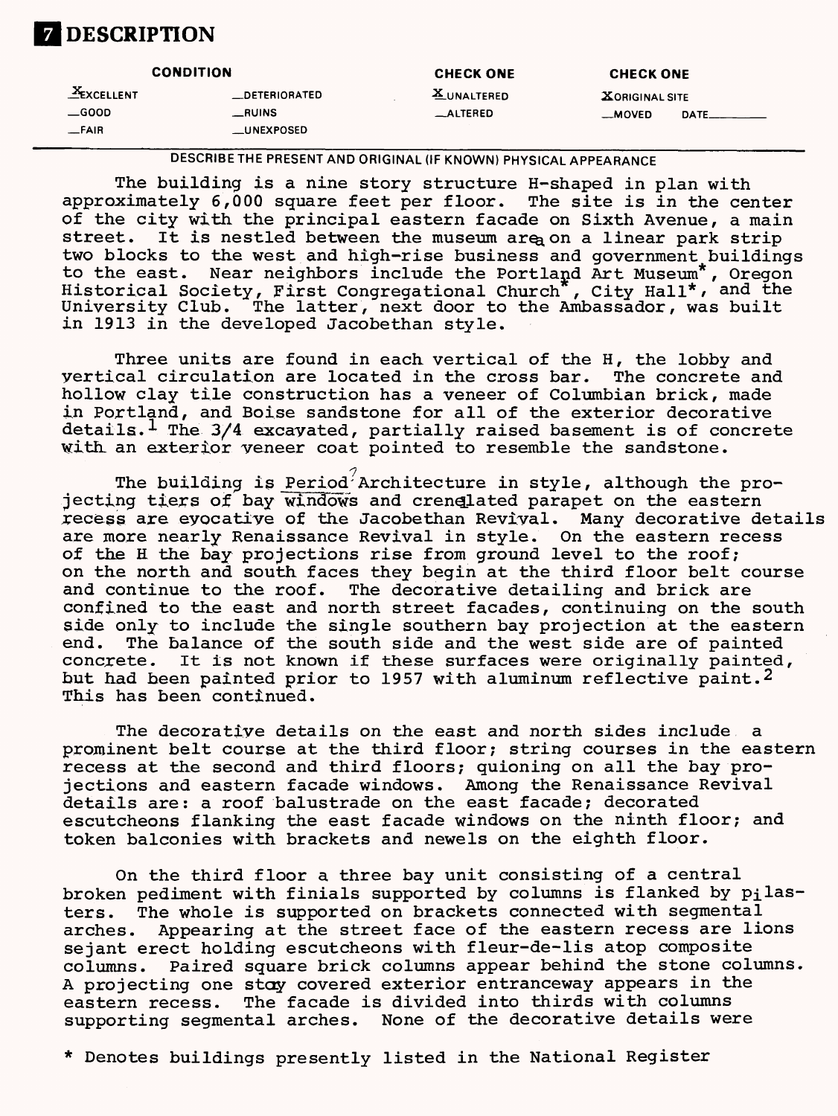## **DESCRIPTION**

| <b>CONDITION</b> |                      | <b>CHECK ONE</b><br><b>CHECK ONE</b> |                       |               |
|------------------|----------------------|--------------------------------------|-----------------------|---------------|
| $X$ EXCELLENT    | <b>_DETERIORATED</b> | LUNALTERED                           | <b>XORIGINAL SITE</b> |               |
| $\equiv$ GOOD    | <b>_RUINS</b>        | $\overline{\phantom{a}}$ ALTERED     | $-MOVED$              | <b>DATE__</b> |
| —FAIR            | <b>_UNEXPOSED</b>    |                                      |                       |               |

**DESCRIBE THE PRESENT AND ORIGINAL (IF KNOWN) PHYSICAL APPEARANCE**

The building is a nine story structure H-shaped in plan with approximately 6,000 square feet per floor. The site is in the center of the city with the principal eastern facade on Sixth Avenue, a main street. It is nestled between the museum are on a linear park strip two blocks to the west and high-rise business and government buildings to the east. Near neighbors include the Portland Art Museum\*, Oregon Historical Society, First Congregational Church , City Hall\*/ and the University Club. The latter, next door to the Ambassador, was built in 1913 in the developed Jacobethan style.

Three units are found in each vertical of the H, the lobby and vertical circulation are located in the cross bar. The concrete and hollow clay tile construction has a veneer of Columbian brick, made in Portland, and Boise sandstone for all of the exterior decorative  $details.<sup>1</sup>$  The 3/4 excavated, partially raised basement is of concrete with an exterior veneer coat pointed to resemble the sandstone.

The building is  $\mathtt{Period}^?$ Architecture in style, although the projecting tiers of bay windows and crenelated parapet on the eastern recess are evocative of the Jacobethan Revival. Many decorative details are more nearly Renaissance Revival in style. On the eastern recess of the H the bay projections rise from ground level to the roof; on the north and south faces they begin at the third floor belt course and continue to the roof. The decorative detailing and brick are The decorative detailing and brick are confined to the east and north street facades, continuing on the south side only to include the single southern bay projection at the eastern end. The balance of the south side and the west side are of painted concrete. It is not known if these surfaces were originally painted, but had been painted prior to 1957 with aluminum reflective paint.<sup>2</sup> This has been continued.

The decorative details on the east and north sides include a prominent belt course at the third floor; string courses in the eastern recess at the second and third floors; quioning on all the bay projections and eastern facade windows. Among the Renaissance Revival details are: a roof balustrade on the east facade; decorated escutcheons flanking the east facade windows on the ninth floor; and token balconies with brackets and newels on the eighth floor.

On the third floor a three bay unit consisting of a central broken pediment with finials supported by columns is flanked by pilasters. The whole is supported on brackets connected with segmental arches. Appearing at the street face of the eastern recess are lions sejant erect holding escutcheons with fleur-de-lis atop composite columns. Paired square brick columns appear behind the stone columns. A projecting one stay covered exterior entranceway appears in the eastern recess. The facade is divided into thirds with columns supporting segmental arches. None of the decorative details were

\* Denotes buildings presently listed in the National Register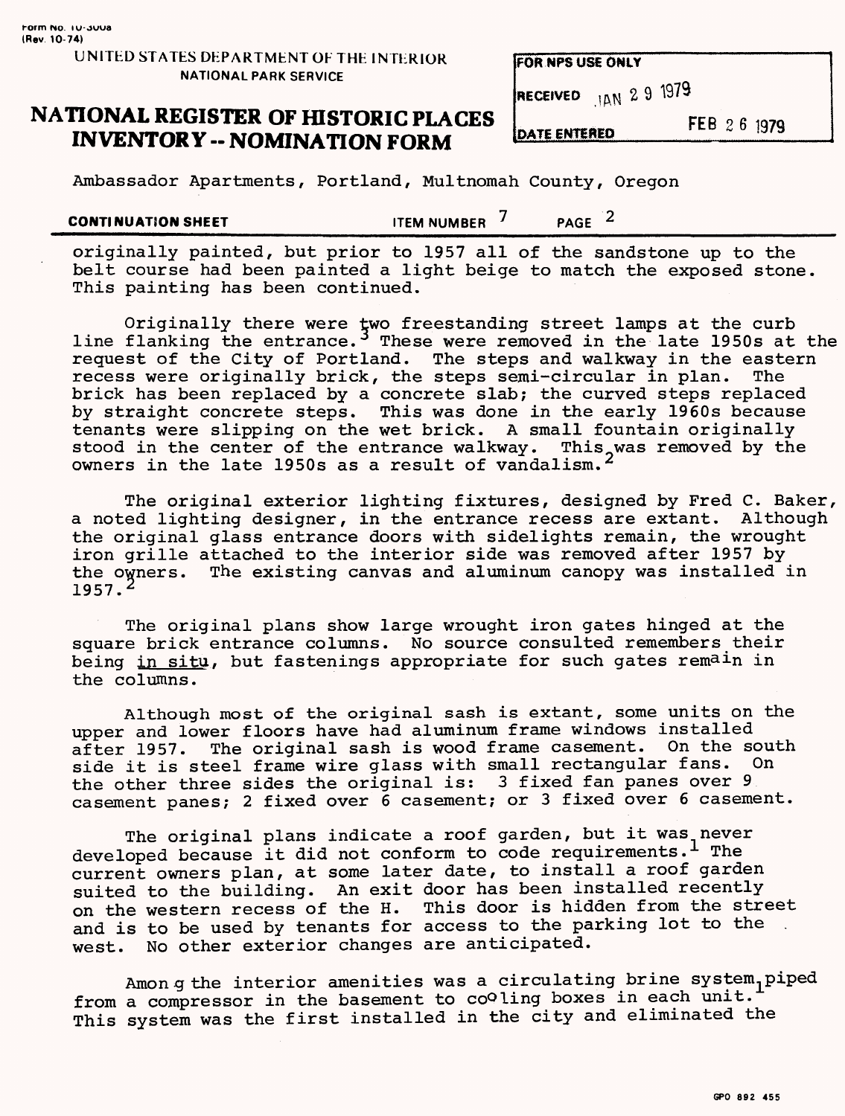### **UNITED STATES DEPARTMENT OE THE INTERIOR FOR NFS USE ONLY NATIONAL PARK SERVICE**

**RECEIVED** 1AN 2 9 1979

## **NATIONAL REGISTER OF HISTORIC PLACES INVENTORY -- NOMINATION FORM DATE ENTERED** FEB 2 6 1979

Ambassador Apartments, Portland, Multnomah County, Oregon

## **CONTINUATION SHEET ITEM NUMBER 7**

PAGE<sup>2</sup>

originally painted, but prior to 1957 all of the sandstone up to the belt course had been painted a light beige to match the exposed stone. This painting has been continued.

Originally there were two freestanding street lamps at the curb line flanking the entrance.<sup>5</sup> These were removed in the late 1950s at the request of the City of Portland. The steps and walkway in the eastern recess were originally brick, the steps semi-circular in plan. brick has been replaced by a concrete slab; the curved steps replaced by straight concrete steps. This was done in the early 1960s because tenants were slipping on the wet brick. A small fountain originally stood in the center of the entrance walkway. This was removed by the owners in the late 1950s as a result of vandalism.

The original exterior lighting fixtures, designed by Fred C. Baker, a noted lighting designer, in the entrance recess are extant. Although the original glass entrance doors with sidelights remain, the wrought iron grille attached to the interior side was removed after 1957 by the owners. The existing canvas and aluminum canopy was installed in  $1957.2$ 

The original plans show large wrought iron gates hinged at the square brick entrance columns. No source consulted remembers their being in situ, but fastenings appropriate for such gates remain in the columns.

Although most of the original sash is extant, some units on the upper and lower floors have had aluminum frame windows installed after 1957. The original sash is wood frame casement. On the south side it is steel frame wire glass with small rectangular fans. On the other three sides the original is: 3 fixed fan panes over 9 casement panes; 2 fixed over 6 casement; or 3 fixed over 6 casement.

The original plans indicate a roof garden, but it was never developed because it did not conform to code requirements.<sup>1</sup> The current owners plan, at some later date, to install a roof garden suited to the building. An exit door has been installed recently on the western recess of the H. This door is hidden from the street and is to be used by tenants for access to the parking lot to the west. No other exterior changes are anticipated.

Among the interior amenities was a circulating brine system, piped from a compressor in the basement to co<sup>o</sup>ling boxes in each unit. This system was the first installed in the city and eliminated the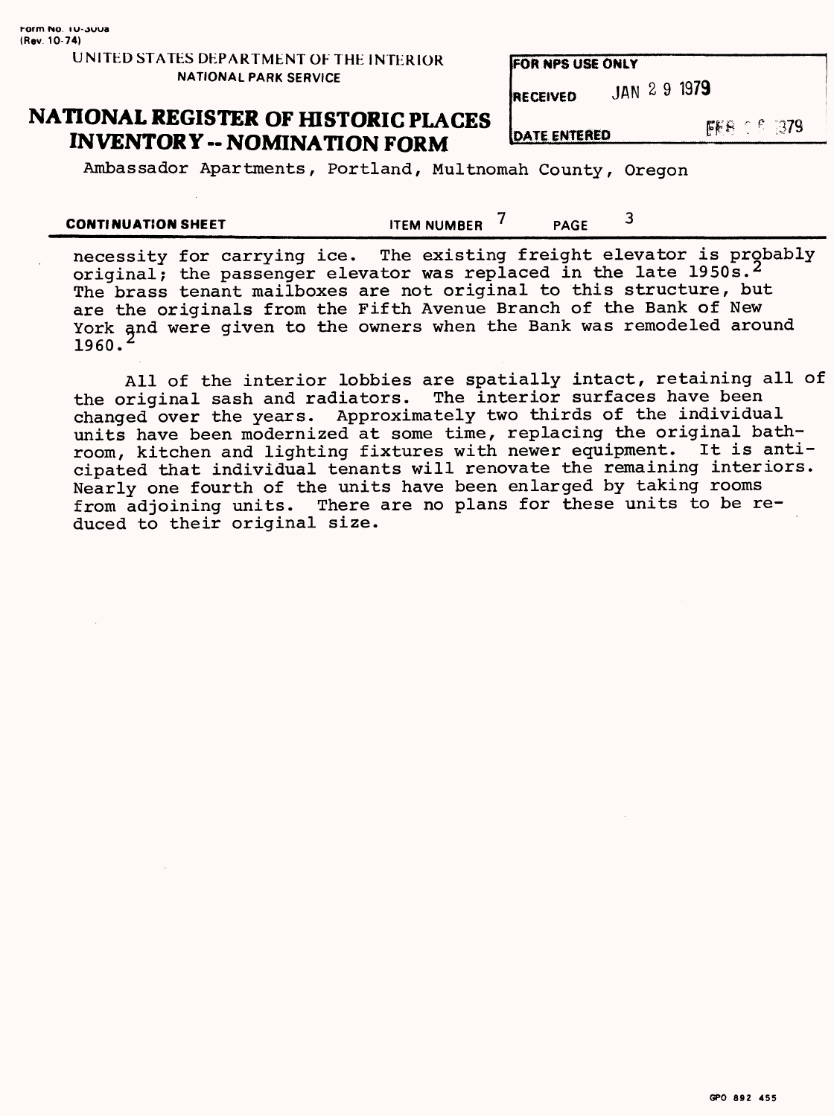### UNITED STATES DEPARTMENT OF THE INTERIOR NATIONAL PARK SERVICE

## **NATIONAL REGISTER OF HISTORIC PLACES INVENTORY -- NOMINATION FORM**

**FOR NPS USE ONLY** 

**DATE ENTERED** 

JAN 29 1979 **RECEIVED**

FEB 2 6 1379

Ambassador Apartments, Portland, Multnomah County, Oregon

**CONTINUATION SHEET** TEM NUMBER  $\frac{7}{100}$  PAGE 3

necessity for carrying ice. The existing freight elevator is probably original; the passenger elevator was replaced in the late 1950s.<sup>2</sup> The brass tenant mailboxes are not original to this structure, but are the originals from the Fifth Avenue Branch of the Bank of New York and were given to the owners when the Bank was remodeled around I960. 2

All of the interior lobbies are spatially intact, retaining all of the original sash and radiators. The interior surfaces have been changed over the years. Approximately two thirds of the individual units have been modernized at some time, replacing the original bathroom, kitchen and lighting fixtures with newer equipment. It is anticipated that individual tenants will renovate the remaining interiors. Nearly one fourth of the units have been enlarged by taking rooms from adjoining units. There are no plans for these units to be reduced to their original size.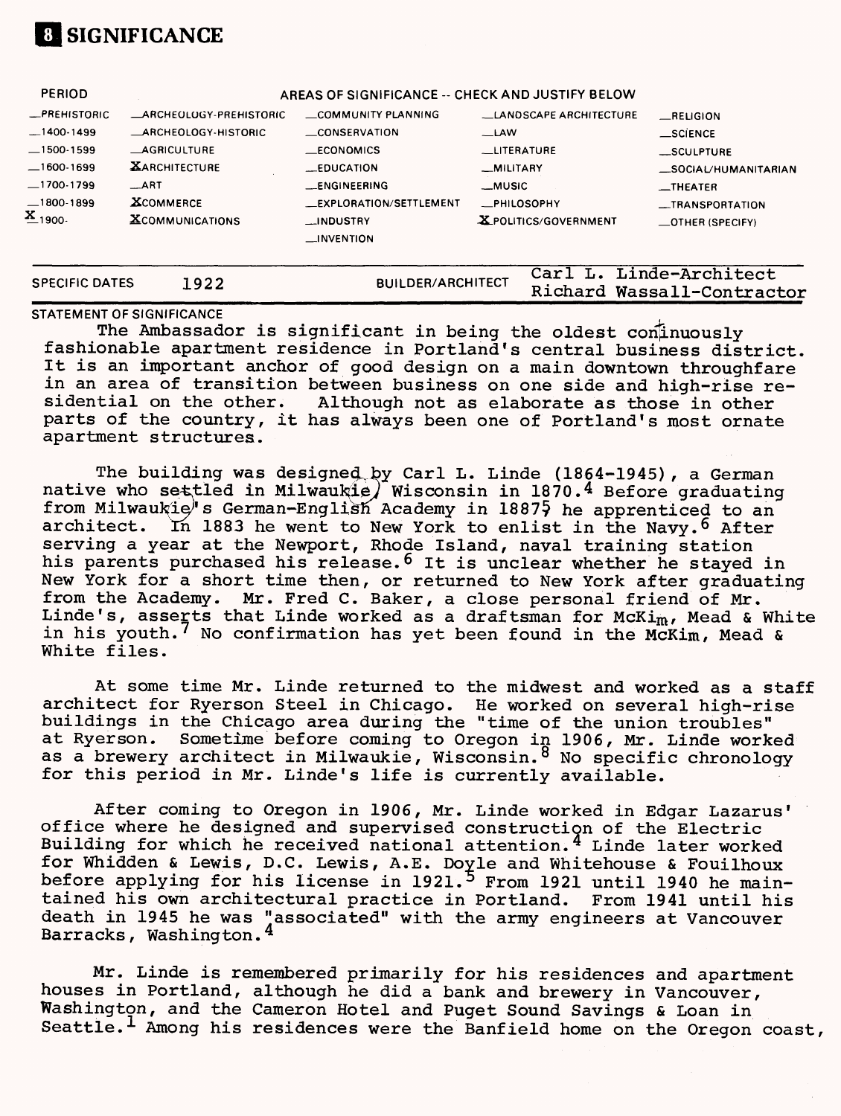

| <b>PERIOD</b>                                                                                |                                                                                                                                          | AREAS OF SIGNIFICANCE -- CHECK AND JUSTIFY BELOW                                                                                    |                                                                                                           |                             |                                                                                              |
|----------------------------------------------------------------------------------------------|------------------------------------------------------------------------------------------------------------------------------------------|-------------------------------------------------------------------------------------------------------------------------------------|-----------------------------------------------------------------------------------------------------------|-----------------------------|----------------------------------------------------------------------------------------------|
| -PREHISTORIC<br>$-1400-1499$<br>$-1500-1599$<br>$-1600-1699$<br>$-1700-1799$<br>$-1800-1899$ | <b>ARCHEOLOGY-PREHISTORIC</b><br><b>ARCHEOLOGY-HISTORIC</b><br><b>AGRICULTURE</b><br><b>XARCHITECTURE</b><br>$\_ART$<br><b>XCOMMERCE</b> | COMMUNITY PLANNING<br><b>CONSERVATION</b><br><b>LECONOMICS</b><br><b>EDUCATION</b><br><b>ENGINEERING</b><br>_EXPLORATION/SETTLEMENT | <b>LANDSCAPE ARCHITECTURE</b><br>$\equiv$ LAW<br><b>LITERATURE</b><br>_MILITARY<br>__MUSIC<br>_PHILOSOPHY |                             | RELIGION<br>_SCIENCE<br>_SCULPTURE<br>SOCIAL/HUMANITARIAN<br>$-$ THEATER<br>__TRANSPORTATION |
| $\underline{\textbf{x}}_{1900}$ .<br><b>SPECIFIC DATES</b>                                   | <b>X</b> COMMUNICATIONS<br>1922                                                                                                          | <b>MDUSTRY</b><br>$\sim$ INVENTION<br><b>BUILDER/ARCHITECT</b>                                                                      |                                                                                                           | <b>XPOLITICS/GOVERNMENT</b> | <b>_OTHER (SPECIFY)</b><br>Carl L. Linde-Architect                                           |
|                                                                                              |                                                                                                                                          |                                                                                                                                     |                                                                                                           |                             | Richard Wassall-Contractor                                                                   |

### **STATEMENT OF SIGNIFICANCE**

The Ambassador is significant in being the oldest coninuously fashionable apartment residence in Portland's central business district. It is an important anchor of good design on a main downtown throughfare in an area of transition between business on one side and high-rise residential on the other. Although not as elaborate as those in other parts of the country, it has always been one of Portland's most ornate apartment structures.

The building was designed by Carl L. Linde (1864-1945), a German native who settled in Milwaukie) Wisconsin in 1870.4 Before graduating from Milwaukie's German-English Academy in 18875 he apprenticed to an architect. In 1883 he went to New York to enlist in the Navy.  $6$  After serving a year at the Newport, Rhode Island, naval training station his parents purchased his release.<sup>6</sup> It is unclear whether he stayed in New York for a short time then, or returned to New York after graduating from the Academy. Mr. Fred C. Baker, a close personal friend of Mr. Linde's, asserts that Linde worked as a draftsman for McKim, Mead & White in his youth. 7 No confirmation has yet been found in the McKim, Mead & White files.

At some time Mr. Linde returned to the midwest and worked as a staff architect for Ryerson Steel in Chicago. He worked on several high-rise buildings in the Chicago area during the "time of the union troubles" at Ryerson. Sometime before coming to Oregon in 1906, Mr. Linde worked as a brewery architect in Milwaukie, Wisconsin. <sup>8</sup> No specific chronology for this period in Mr. Linde's life is currently available.

After coming to Oregon in 1906, Mr. Linde worked in Edgar Lazarus' office where he designed and supervised construction of the Electric Building for which he received national attention. 4 Linde later worked for Whidden & Lewis, D.C. Lewis, A.E. Doyle and Whitehouse & Fouilhoux before applying for his license in 1921.<sup>5</sup> From 1921 until 1940 he maintained his own architectural practice in Portland. From 1941 until his death in 1945 he was "associated" with the army engineers at Vancouver Barracks, Washington. 4

Mr. Linde is remembered primarily for his residences and apartment houses in Portland, although he did a bank and brewery in Vancouver, Washington, and the Cameron Hotel and Puget Sound Savings & Loan in Seattle.<sup>1</sup> Among his residences were the Banfield home on the Oregon coast,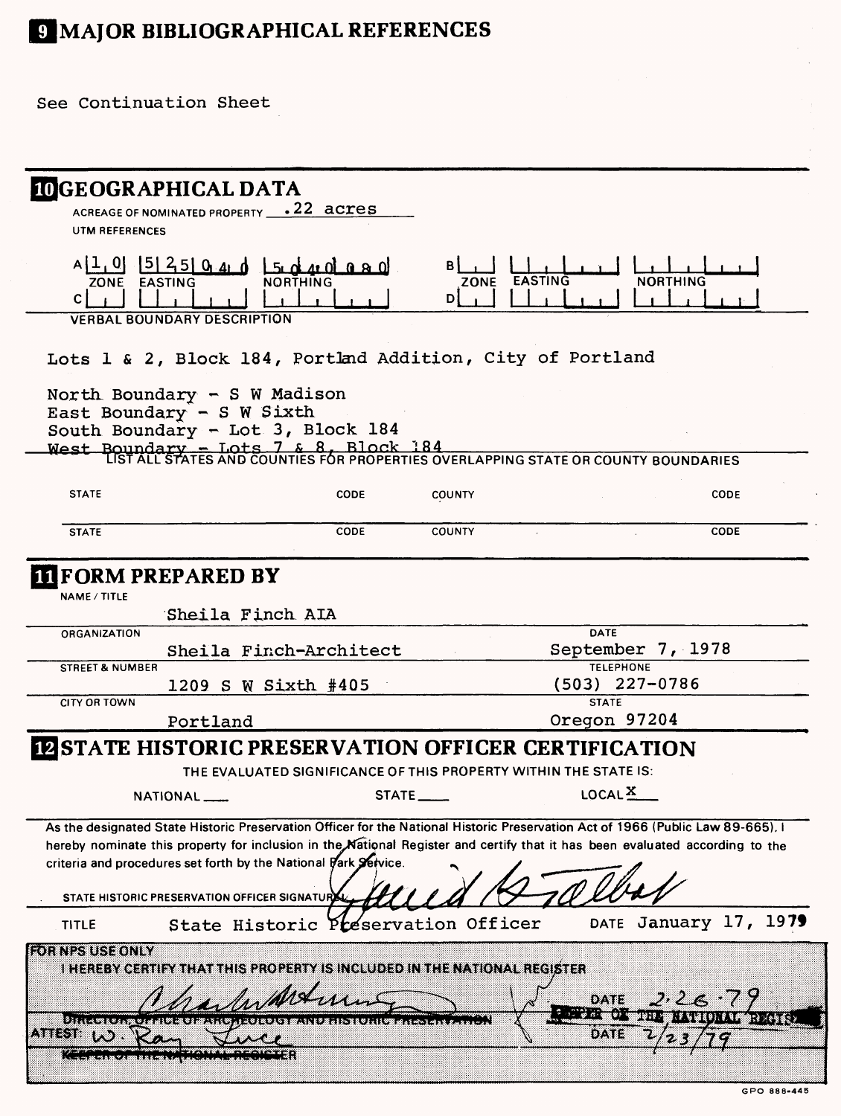# **WAJOR BIBLIOGRAPHICAL REFERENCES**

See Continuation Sheet

|                                                                 | <b>IDGEOGRAPHICAL DATA</b><br>ACREAGE OF NOMINATED PROPERTY 122 acres                                                                                                                                                                                                                                                              |                                                        |                                                                                  |                                       |                       |
|-----------------------------------------------------------------|------------------------------------------------------------------------------------------------------------------------------------------------------------------------------------------------------------------------------------------------------------------------------------------------------------------------------------|--------------------------------------------------------|----------------------------------------------------------------------------------|---------------------------------------|-----------------------|
| UTM REFERENCES                                                  |                                                                                                                                                                                                                                                                                                                                    |                                                        |                                                                                  |                                       |                       |
| ZONE EASTING<br> C                                              | $A[1, 0]$ 5 4 5 0 4 0 5 0 4 0 5 0 4                                                                                                                                                                                                                                                                                                | NORTHING                                               | ZONE EASTING<br>Dļ                                                               | <b>NORTHING</b>                       |                       |
|                                                                 | <b>VERBAL BOUNDARY DESCRIPTION</b>                                                                                                                                                                                                                                                                                                 |                                                        |                                                                                  |                                       |                       |
|                                                                 | Lots 1 & 2, Block 184, Portland Addition, City of Portland                                                                                                                                                                                                                                                                         |                                                        |                                                                                  |                                       |                       |
|                                                                 | North Boundary - $S$ W Madison<br>East Boundary - $S$ W Sixth<br>South Boundary - Lot 3, Block 184                                                                                                                                                                                                                                 |                                                        |                                                                                  |                                       |                       |
|                                                                 | West Boundary - Lots 7 & 8, Block 184<br>LISTALL STATES AND COUNTIES FOR PROPERTIES OVERLAPPING STATE OR COUNTY BOUNDARIES                                                                                                                                                                                                         |                                                        |                                                                                  |                                       |                       |
| <b>STATE</b>                                                    |                                                                                                                                                                                                                                                                                                                                    | CODE                                                   | <b>COUNTY</b>                                                                    |                                       | <b>CODE</b>           |
| <b>STATE</b>                                                    |                                                                                                                                                                                                                                                                                                                                    | CODE                                                   | <b>COUNTY</b>                                                                    |                                       | <b>CODE</b>           |
| <b>NAME / TITLE</b>                                             | <b>IT FORM PREPARED BY</b><br>Sheila Finch AIA                                                                                                                                                                                                                                                                                     |                                                        |                                                                                  |                                       |                       |
| ORGANIZATION                                                    |                                                                                                                                                                                                                                                                                                                                    |                                                        |                                                                                  | DATE                                  |                       |
| <b>STREET &amp; NUMBER</b>                                      | Sheila Finch-Architect                                                                                                                                                                                                                                                                                                             |                                                        |                                                                                  | September 7, 1978<br><b>TELEPHONE</b> |                       |
|                                                                 | 1209 S W Sixth #405                                                                                                                                                                                                                                                                                                                |                                                        |                                                                                  | $(503)$ 227-0786                      |                       |
| <b>CITY OR TOWN</b>                                             | Portland                                                                                                                                                                                                                                                                                                                           |                                                        |                                                                                  | <b>STATE</b><br>Oregon 97204          |                       |
|                                                                 | <b>IN STATE HISTORIC PRESERVATION OFFICER CERTIFICATION</b>                                                                                                                                                                                                                                                                        |                                                        |                                                                                  |                                       |                       |
|                                                                 | NATIONAL ____                                                                                                                                                                                                                                                                                                                      |                                                        | THE EVALUATED SIGNIFICANCE OF THIS PROPERTY WITHIN THE STATE IS:<br><b>STATE</b> | LOCAL $\underline{\mathbf{X}}$        |                       |
|                                                                 | As the designated State Historic Preservation Officer for the National Historic Preservation Act of 1966 (Public Law 89-665), I<br>hereby nominate this property for inclusion in the National Register and certify that it has been evaluated according to the<br>criteria and procedures set forth by the National Vark Selvice. |                                                        |                                                                                  |                                       |                       |
|                                                                 | STATE HISTORIC PRESERVATION OFFICER SIGNATURE                                                                                                                                                                                                                                                                                      |                                                        |                                                                                  |                                       |                       |
| <b>TITLE</b>                                                    |                                                                                                                                                                                                                                                                                                                                    |                                                        | State Historic Preservation Officer                                              |                                       | DATE January 17, 1979 |
| <b>TORNPSUSE ONLY</b>                                           | I HEREBY CERTIFY THAT THIS PROPERTY IS INCLUDED IN THE NATIONAL REGISTER                                                                                                                                                                                                                                                           |                                                        |                                                                                  |                                       |                       |
| <u>. Haasii 1993 ayaa may oo sa sa siyo caa yaa a</u><br>வான நட |                                                                                                                                                                                                                                                                                                                                    | <u>Liittistevattimuittaittaulittaa 1997 ja kassa s</u> |                                                                                  | 97. V S 2<br>8X. 81                   | ::) / e y g = >       |
|                                                                 |                                                                                                                                                                                                                                                                                                                                    |                                                        |                                                                                  |                                       |                       |
|                                                                 |                                                                                                                                                                                                                                                                                                                                    |                                                        |                                                                                  |                                       |                       |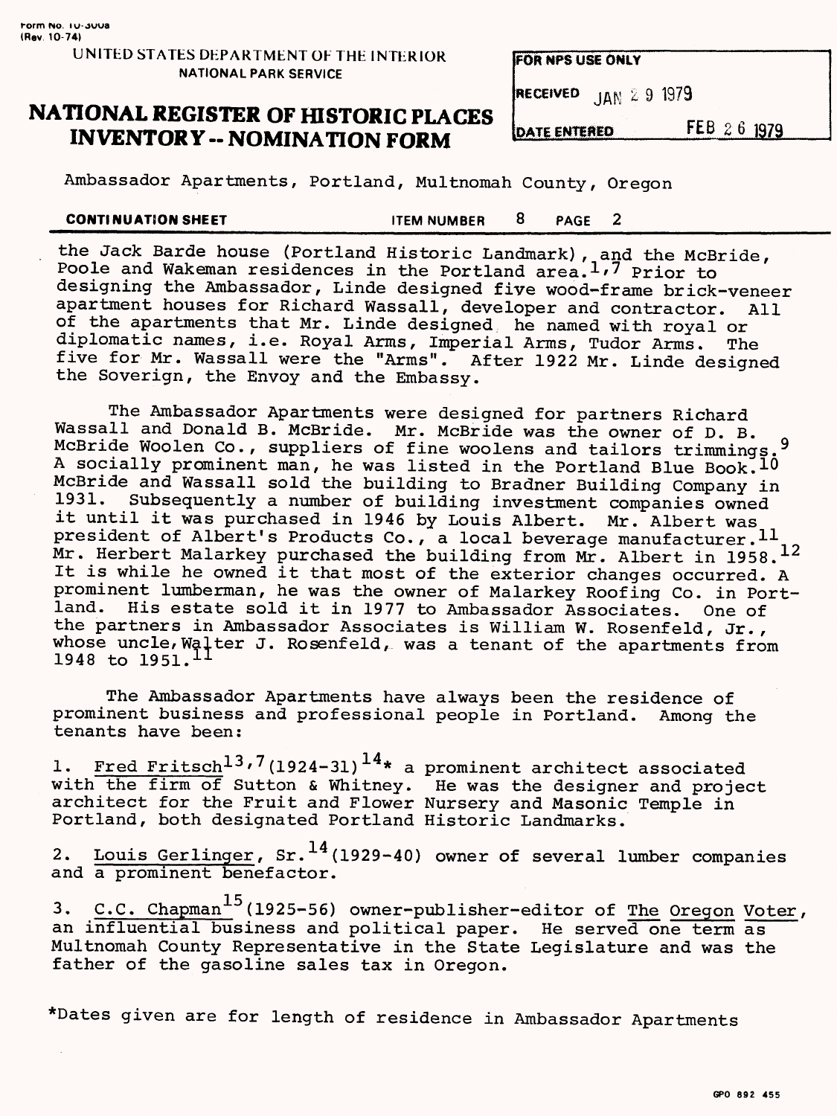**FOR NPS USE ONLY** 

## **NATIONAL REGISTER OF HISTORIC PLACES INVENTORY -- NOMINATION FORM**

**RECEIVED JAN 2 9 1979** 

**DATE ENTERED FEB 2 6 1979** 

Ambassador Apartments, Portland, Multnomah County, Oregon

**CONTINUATION SHEET** TEM NUMBER 8 PAGE 2

the Jack Barde house (Portland Historic Landmark), and the McBride, Poole and Wakeman residences in the Portland area.<sup>1,7</sup> Prior to designing the Ambassador, Linde designed five wood-frame brick-veneer apartment houses for Richard Wassall, developer and contractor. All of the apartments that Mr. Linde designed he named with royal or diplomatic names, i.e. Royal Arms, Imperial Arms, Tudor Arms. The five for Mr. Wassail were the "Arms". After 1922 Mr. Linde designed the Soverign, the Envoy and the Embassy.

The Ambassador Apartments were designed for partners Richard Wassail and Donald B. McBride. Mr. McBride was the owner of D. B. McBride Woolen Co., suppliers of fine woolens and tailors trimmings. A socially prominent man, he was listed in the Portland Blue Book. 10 McBride and Wassall sold the building to Bradner Building Company in<br>1931. Subsequently a number of building investment companies ouned Subsequently a number of building investment companies owned it until it was purchased in 1946 by Louis Albert. Mr. Albert was president of Albert's Products Co., a local beverage manufacturer.  $11$ Mr. Herbert Malarkey purchased the building from Mr. Albert in 1958.  $^{12}$ It is while he owned it that most of the exterior changes occurred. A prominent lumberman, he was the owner of Malarkey Roofing Co. in Portland. His estate sold it in 1977 to Ambassador Associates. One of the partners in Ambassador Associates is William W. Rosenfeld, Jr., whose uncle, Walter J. Rosenfeld, was a tenant of the apartments from 1948 to  $1951.^{11}$ 

The Ambassador Apartments have always been the residence of prominent business and professional people in Portland. Among the tenants have been:

1. Fred Fritsch<sup>13,7</sup>(1924-31)<sup>14</sup>\* a prominent architect associated with the firm of Sutton & Whitney. He was the designer and project architect for the Fruit and Flower Nursery and Masonic Temple in Portland, both designated Portland Historic Landmarks.

2. Louis Gerlinger, Sr.  $^{14}$ (1929-40) owner of several lumber companies and a prominent benefactor.

3. C.C. Chapman<sup>15</sup>(1925-56) owner-publisher-editor of The Oregon Voter, an influential business and political paper. He served one term as Multnomah County Representative in the State Legislature and was the father of the gasoline sales tax in Oregon.

\*Dates given are for length of residence in Ambassador Apartments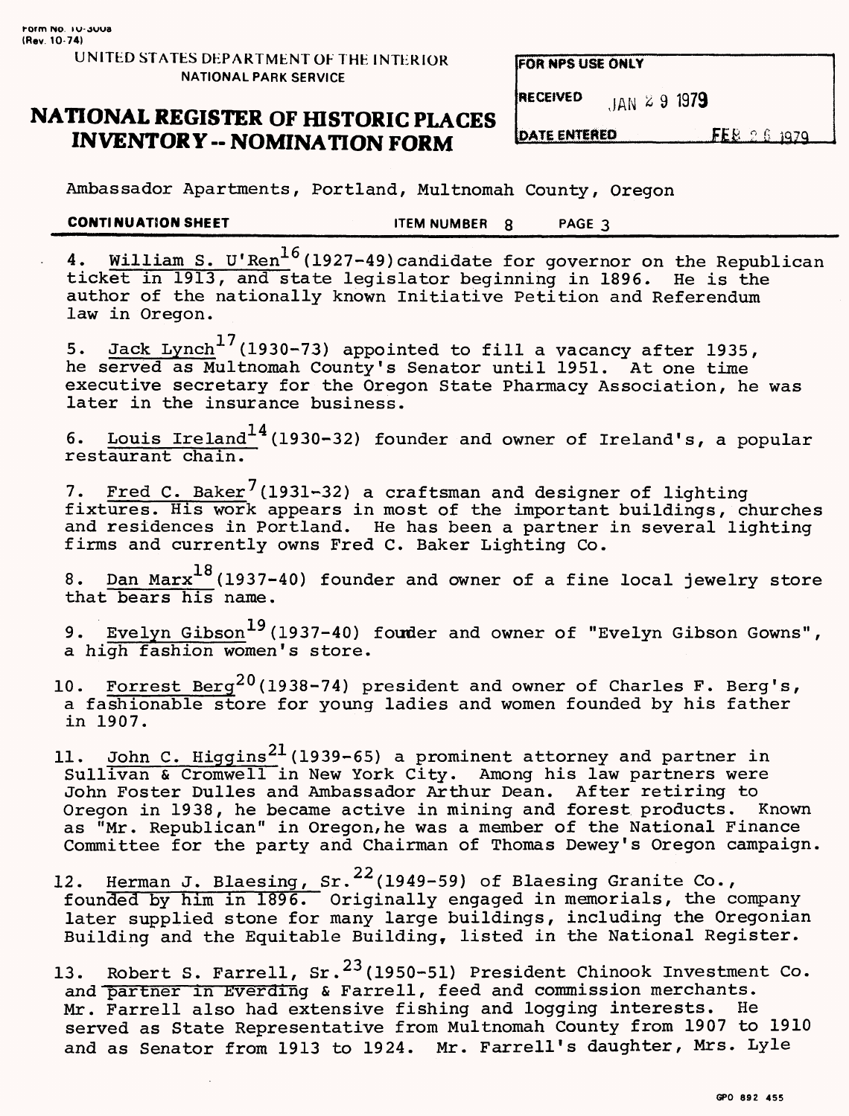### UNITED STATES DEPARTMENT OF THE INTERIOR NATIONAL PARK SERVICE

### **FOR NPS USE ONLY**

RECEIVED  $14N \times 9$  1979

## **NATIONAL REGISTER OF HISTORIC PLACES INVENTORY -- NOMINATION FORM EXECUTERED FER 2.6 1979**

Ambassador Apartments, Portland, Multnomah County, Oregon

**CONTINUATION SHEET** THEM NUMBER 8 PAGE 3

4. William S. U'Ren<sup>10</sup> (1927-49)candidate for governor on the Republican ticket in 1913, and state legislator beginning in 1896. He is the author of the nationally known Initiative Petition and Referendum law in Oregon.

5. Jack Lynch<sup>17</sup> (1930-73) appointed to fill a vacancy after 1935, he served as Multnomah County's Senator until 1951. At one time executive secretary for the Oregon State Pharmacy Association, he was later in the insurance business.

6.  $\_Louis\_Ireland^{14}$ (1930-32) founder and owner of Ireland's, a popular restaurant chain.

7. Fred C. Baker<sup>7</sup>(1931-32) a craftsman and designer of lighting fixtures. His work appears in most of the important buildings, churches and residences in Portland. He has been a partner in several lighting firms and currently owns Fred C. Baker Lighting Co.

8.  $\mathtt{Dan~ Marx}^{18}$ (1937-40) founder and owner of a fine local jewelry store that bears his name.

י<br>מי 9. Evelyn Gibson<sup>19</sup>(1937-40) fouder and owner of "Evelyn Gibson Gowns", a high fashion women's store.

10. Forrest Berg<sup>20</sup>(1938-74) president and owner of Charles F. Berg's, a fashionable store for young ladies and women founded by his father in 1907.

11. John C. Higgins<sup>21</sup>(1939-65) a prominent attorney and partner in Sullivan & Cromwell in New York City. Among his law partners were John Foster Dulles and Ambassador Arthur Dean. After retiring to<br>Oregon in 1938, he became active in mining and forest products. Known Oregon in 1938, he became active in mining and forest products. as "Mr. Republican" in Oregon,he was a member of the National Finance Committee for the party and Chairman of Thomas Dewey's Oregon campaign.

12. Herman J. Blaesing, Sr.<sup>22</sup>(1949-59) of Blaesing Granite Co., founded by him in 1896. Originally engaged in memorials, the company later supplied stone for many large buildings, including the Oregonian Building and the Equitable Building, listed in the National Register.

13. Robert S. Farrell, Sr.  $^{23}$ (1950-51) President Chinook Investment Co. and partner in Everding & Farrell, feed and commission merchants. Mr. Farrell also had extensive fishing and logging interests. He served as State Representative from Multnomah County from 1907 to 1910 and as Senator from 1913 to 1924. Mr. Farrell's daughter, Mrs. Lyle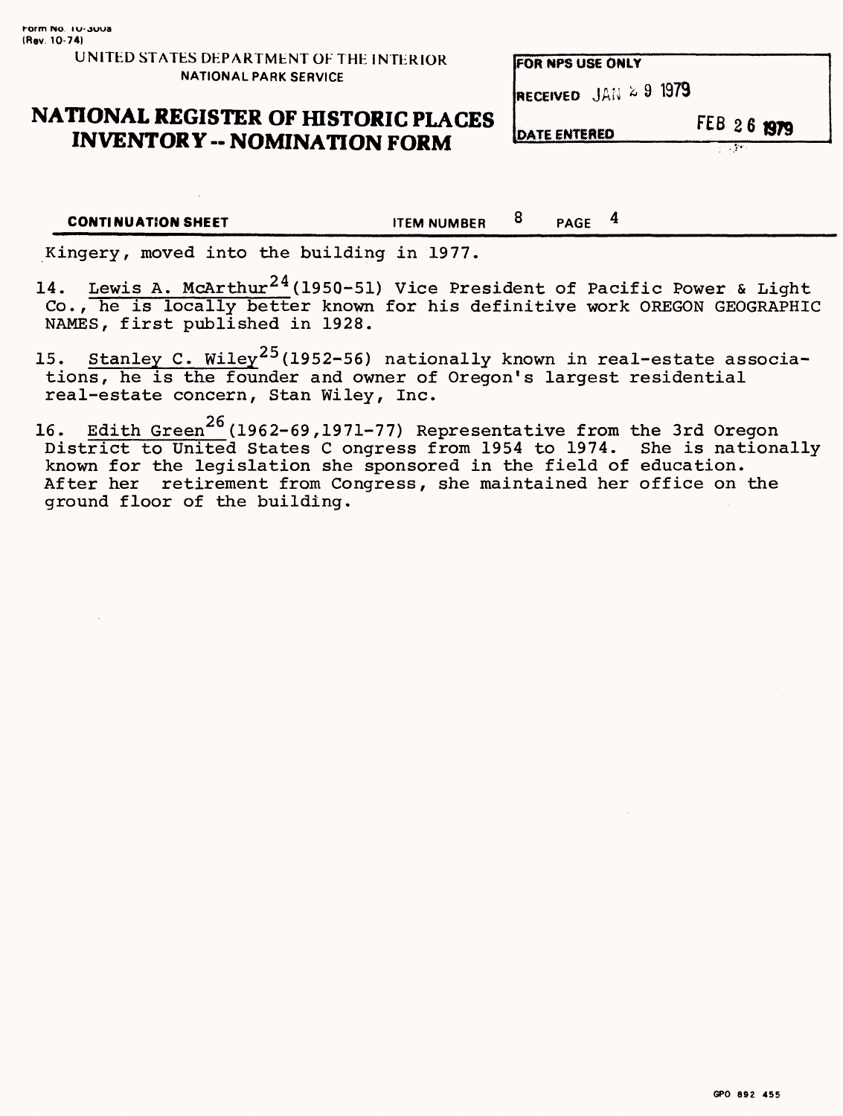### UNITED STATES DEPARTMENT OF THE INTERIOR FOR NPS USE ONLY **NATIONAL PARK SERVICE**

**RECEIVED** JAN  $\approx 9$  1979

## **NATIONAL REGISTER OF HISTORIC PLACES INVENTORY - NOMINATION FORM**

**IDATE ENTERED** 

FEB 26 1979

-77

Kingery, moved into the building in 1977.

- 14. Lewis A. McArthur<sup>24</sup> (1950-51) Vice President of Pacific Power & Light Co., he is locally better known for his definitive work OREGON GEOGRAPHIC NAMES, first published in 1928.
- $25$ 15. <u>Stanley C. Wiley<sup>29</sup>(1952-56) nationally</u> known in real-estate associations, he is the founder and owner of Oregon's largest residential real-estate concern, Stan Wiley, Inc.
- 16. Edith Green<sup>26</sup> (1962-69,1971-77) Representative from the 3rd Oregon District to United States C ongress from 1954 to 1974. She is nationally known for the legislation she sponsored in the field of education. After her retirement from Congress, she maintained her office on the ground floor of the building.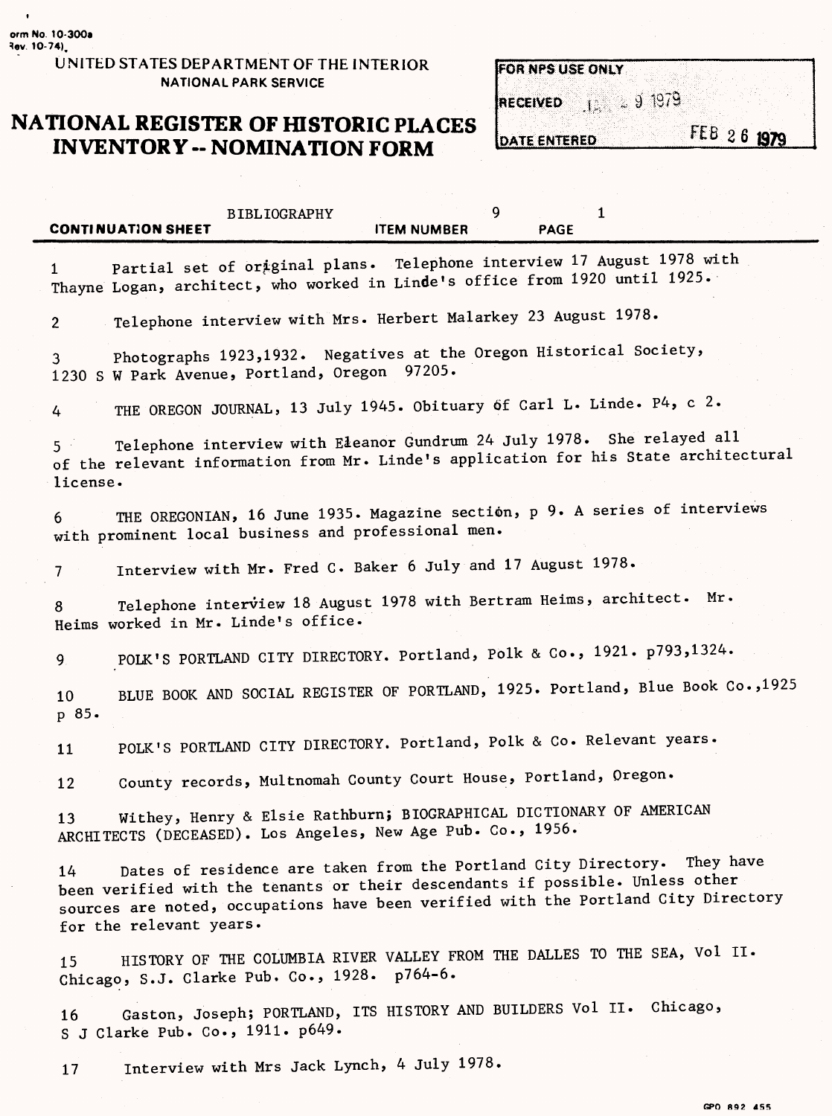**orm No. 10-3008 \*ev 10-74).**

### **UNITED STATES DEPARTMENT OF THE INTERIOR NATIONAL PARK SERVICE**

# **NATIONAL REGISTER OF HISTORIC PLACES** RECEIVED 1. 2 9 1979 **INVENTORY -- NOMINATION FORM**

**FOR NPS USE ONLY** 

| 9<br>$\mathbf{1}$<br><b>BIBLIOGRAPHY</b><br><b>CONTINUATION SHEET</b><br><b>ITEM NUMBER</b><br><b>PAGE</b>                                                                                                                                                                       |
|----------------------------------------------------------------------------------------------------------------------------------------------------------------------------------------------------------------------------------------------------------------------------------|
| Partial set of original plans. Telephone interview 17 August 1978 with<br>$\mathbf{1}$<br>Thayne Logan, architect, who worked in Linde's office from 1920 until 1925.                                                                                                            |
| Telephone interview with Mrs. Herbert Malarkey 23 August 1978.<br>$2^{\circ}$                                                                                                                                                                                                    |
| Photographs 1923,1932. Negatives at the Oregon Historical Society,<br>3.<br>1230 S W Park Avenue, Portland, Oregon 97205.                                                                                                                                                        |
| THE OREGON JOURNAL, 13 July 1945. Obituary of Carl L. Linde. P4, c 2.<br>4                                                                                                                                                                                                       |
| Telephone interview with Eleanor Gundrum 24 July 1978. She relayed all<br>5 <sup>1</sup><br>of the relevant information from Mr. Linde's application for his State architectural<br>license.                                                                                     |
| THE OREGONIAN, 16 June 1935. Magazine section, p 9. A series of interviews<br>6<br>with prominent local business and professional men.                                                                                                                                           |
| Interview with Mr. Fred C. Baker 6 July and 17 August 1978.<br>7.                                                                                                                                                                                                                |
| Telephone interview 18 August 1978 with Bertram Heims, architect. Mr.<br>8<br>Heims worked in Mr. Linde's office.                                                                                                                                                                |
| POLK'S PORTLAND CITY DIRECTORY. Portland, Polk & Co., 1921. p793,1324.<br>9.                                                                                                                                                                                                     |
| BLUE BOOK AND SOCIAL REGISTER OF PORTLAND, 1925. Portland, Blue Book Co., 1925<br>10<br>p 85.                                                                                                                                                                                    |
| POLK'S PORTLAND CITY DIRECTORY. Portland, Polk & Co. Relevant years.<br>11                                                                                                                                                                                                       |
| County records, Multnomah County Court House, Portland, Oregon.<br>12                                                                                                                                                                                                            |
| Withey, Henry & Elsie Rathburn; BIOGRAPHICAL DICTIONARY OF AMERICAN<br>13<br>ARCHITECTS (DECEASED). Los Angeles, New Age Pub. Co., 1956.                                                                                                                                         |
| Dates of residence are taken from the Portland City Directory. They have<br>14<br>been verified with the tenants or their descendants if possible. Unless other<br>sources are noted, occupations have been verified with the Portland City Directory<br>for the relevant years. |
| HISTORY OF THE COLUMBIA RIVER VALLEY FROM THE DALLES TO THE SEA, Vol II.<br>15<br>Chicago, S.J. Clarke Pub. Co., 1928. p764-6.                                                                                                                                                   |
| Gaston, Joseph; PORTLAND, ITS HISTORY AND BUILDERS Vol II. Chicago,<br>16<br>S J Clarke Pub. Co., 1911. p649.                                                                                                                                                                    |

17 Interview with Mrs Jack Lynch, 4 July 1978.